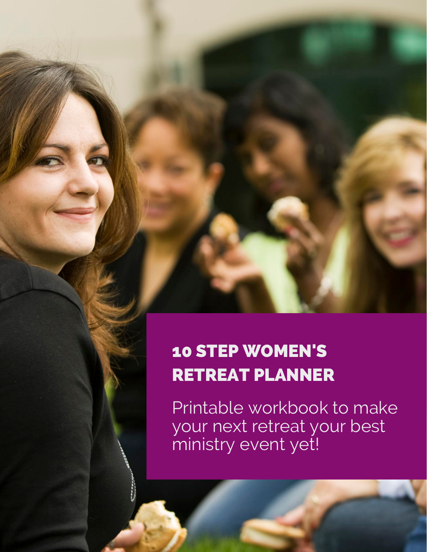## 10 STEP WOMEN'S RETREAT PLANNER

Printable workbook to make your next retreat your best ministry event yet!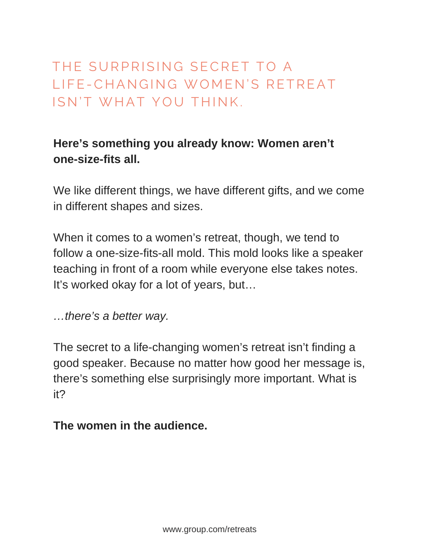### THE SURPRISING SECRET TO A L I F F - CHANGING WOMEN'S RETREAT ISN'T WHAT YOU THINK.

### **Here's something you already know: Women aren't one-size-fits all.**

We like different things, we have different gifts, and we come in different shapes and sizes.

When it comes to a women's retreat, though, we tend to follow a one-size-fits-all mold. This mold looks like a speaker teaching in front of a room while everyone else takes notes. It's worked okay for a lot of years, but…

*…there's a better way.*

The secret to a life-changing women's retreat isn't finding a good speaker. Because no matter how good her message is, there's something else surprisingly more important. What is it?

#### **The women in the audience.**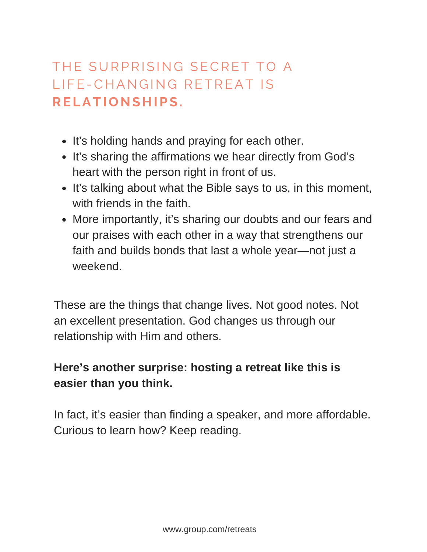### THE SURPRISING SECRET TO A L I F F - CHAN GIN G RETREAT IS **R E L A T I O N S H I P S .**

- It's holding hands and praying for each other.
- It's sharing the affirmations we hear directly from God's heart with the person right in front of us.
- It's talking about what the Bible says to us, in this moment, with friends in the faith.
- More importantly, it's sharing our doubts and our fears and our praises with each other in a way that strengthens our faith and builds bonds that last a whole year—not just a weekend.

These are the things that change lives. Not good notes. Not an excellent presentation. God changes us through our relationship with Him and others.

### **Here's another surprise: hosting a retreat like this is easier than you think.**

In fact, it's easier than finding a speaker, and more affordable. Curious to learn how? Keep reading.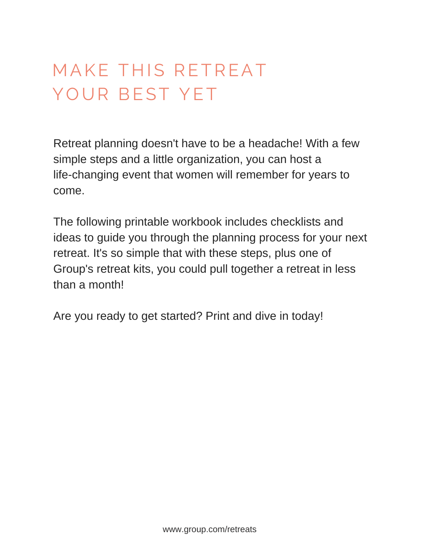## MAKE THIS RETREAT YOUR BEST YET

Retreat planning doesn't have to be a headache! With a few simple steps and a little organization, you can host a life-changing event that women will remember for years to come.

The following printable workbook includes checklists and ideas to guide you through the planning process for your next retreat. It's so simple that with these steps, plus one of Group's retreat kits, you could pull together a retreat in less than a month!

Are you ready to get started? Print and dive in today!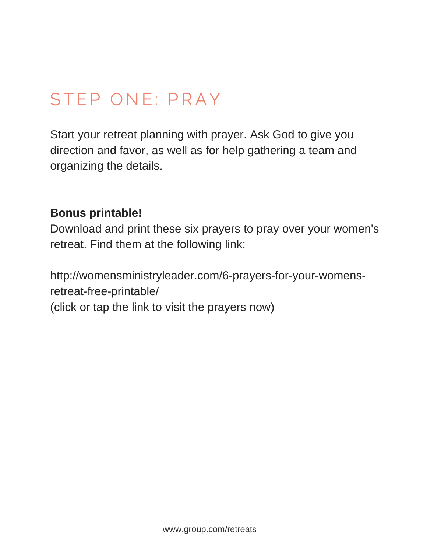## STEP ONE: PRAY

Start your retreat planning with prayer. Ask God to give you direction and favor, as well as for help gathering a team and organizing the details.

### **Bonus printable!**

Download and print these six prayers to pray over your women's retreat. Find them at the following link:

http://womensministryleader.com/6-prayers-for-your-womensretreat-free-printable/ (click or tap the link to visit the prayers now)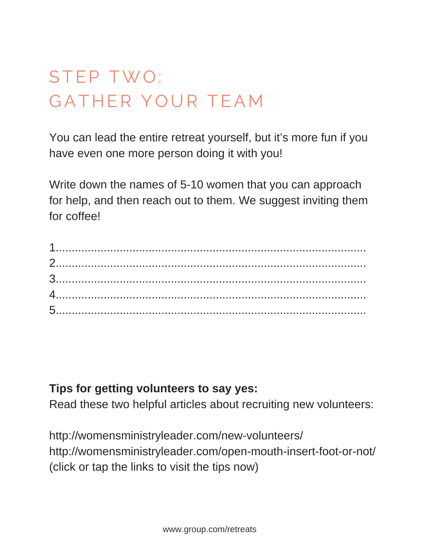# STEP TWO: GATHER YOUR TEAM

You can lead the entire retreat yourself, but it's more fun if you have even one more person doing it with you!

Write down the names of 5-10 women that you can approach for help, and then reach out to them. We suggest inviting them for coffee!

### **Tips for getting volunteers to say yes:**

Read these two helpful articles about recruiting new volunteers:

<http://womensministryleader.com/new-volunteers/> [http://womensministryleader.com/open-mouth-insert-foot-or-not/](http://womensministryleader.com/open-mouth-insert-foot-or-not)  (click or tap the links to visit the tips now)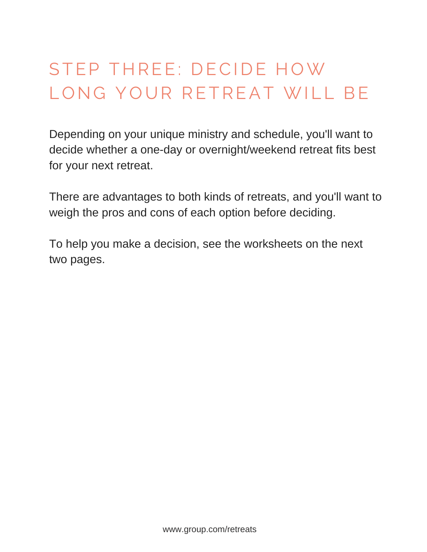# STEP THREE: DECIDE HOW LONG YOUR RETREAT WILL BE

Depending on your unique ministry and schedule, you'll want to decide whether a one-day or overnight/weekend retreat fits best for your next retreat.

There are advantages to both kinds of retreats, and you'll want to weigh the pros and cons of each option before deciding.

To help you make a decision, see the worksheets on the next two pages.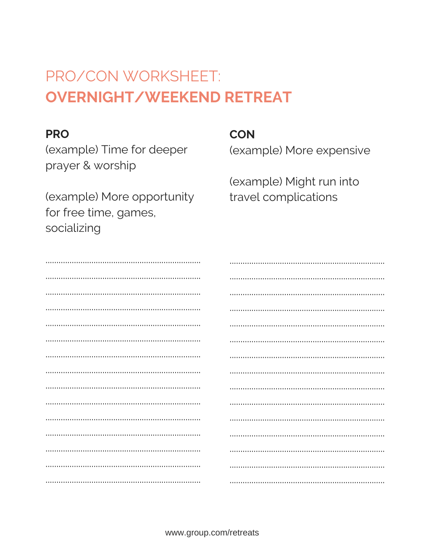## PRO/CON WORKSHEET: **OVERNIGHT/WEEKEND RETREAT**

#### **PRO**

(example) Time for deeper prayer & worship

(example) More opportunity for free time, games, socializing

**CON** 

(example) More expensive

(example) Might run into travel complications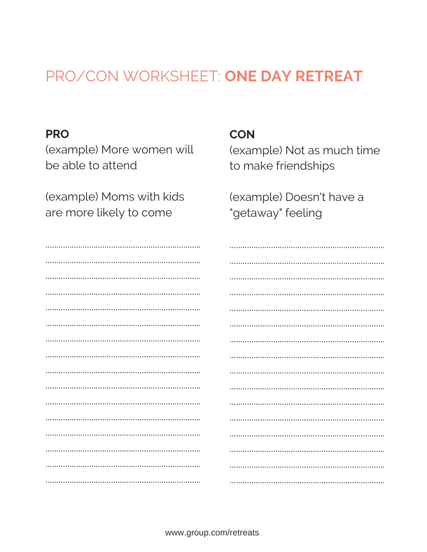### PRO/CON WORKSHEET: ONE DAY RETREAT

#### **PRO**

(example) More women will be able to attend

(example) Moms with kids are more likely to come

### **CON**

(example) Not as much time to make friendships

(example) Doesn't have a "getaway" feeling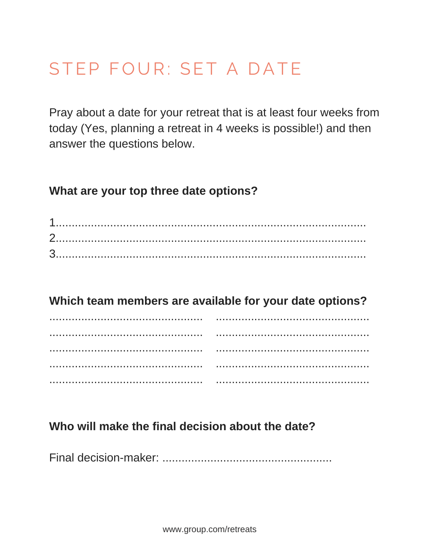## STEP FOUR: SET A DATE

Pray about a date for your retreat that is at least four weeks from today (Yes, planning a retreat in 4 weeks is possible!) and then answer the questions below.

### What are your top three date options?

### Which team members are available for your date options?

### Who will make the final decision about the date?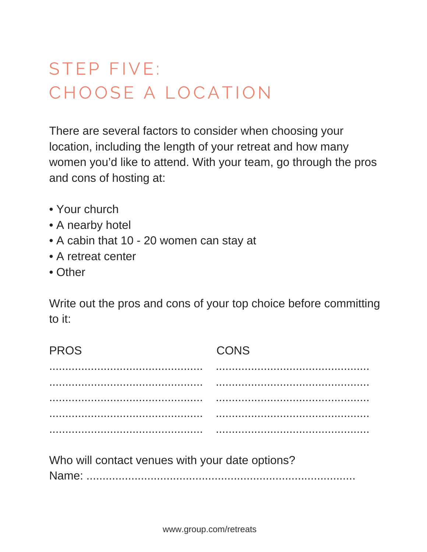# STEP FIVE: CHOOSE A LOCATION

There are several factors to consider when choosing your location, including the length of your retreat and how many women you'd like to attend. With your team, go through the pros and cons of hosting at:

- Your church
- A nearby hotel
- A cabin that 10 20 women can stay at
- A retreat center
- Other

Write out the pros and cons of your top choice before committing to it:

| <b>PROS</b>                                     | CONS |
|-------------------------------------------------|------|
|                                                 |      |
|                                                 |      |
|                                                 |      |
|                                                 |      |
|                                                 |      |
| Who will contact venues with your date options? |      |

Who will contact venues with your date options? Name: ....................................................................................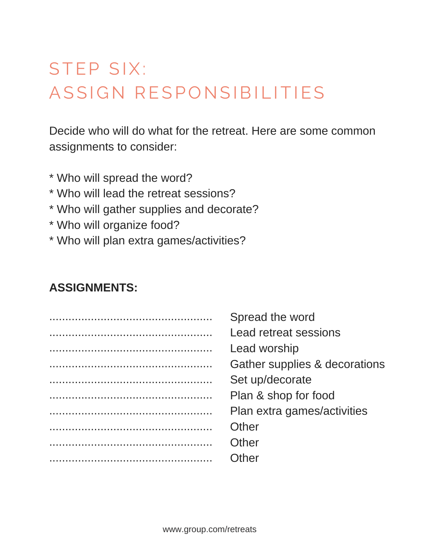## STEP SIX: ASSIGN RESPONSIBILITIES

Decide who will do what for the retreat. Here are some common assignments to consider:

\* Who will spread the word? \* Who will lead the retreat sessions? \* Who will gather supplies and decorate? \* Who will organize food? \* Who will plan extra games/activities?

### **ASSIGNMENTS:**

| Spread the word               |
|-------------------------------|
| <b>Lead retreat sessions</b>  |
| Lead worship                  |
| Gather supplies & decorations |
| Set up/decorate               |
| Plan & shop for food          |
| Plan extra games/activities   |
| Other                         |
| Other                         |
| ıth≏r                         |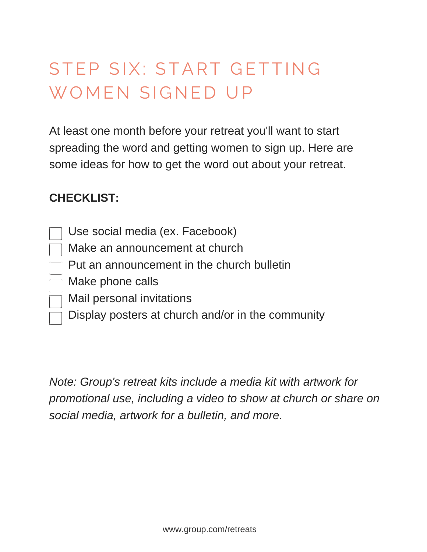# STEP SIX: START GETTING WOMEN SIGNED UP

At least one month before your retreat you'll want to start spreading the word and getting women to sign up. Here are some ideas for how to get the word out about your retreat.

### **CHECKLIST:**

- Use social media (ex. Facebook)
- Make an announcement at church
- Put an announcement in the church bulletin
- $\neg$  Make phone calls
- $\Box$  Mail personal invitations
	- Display posters at church and/or in the community

*Note: [Group's retreat kits i](http://group.com/retreats)nclude a media kit with artwork for promotional use, including a video to show at church or share on social media, artwork for a bulletin, and more.*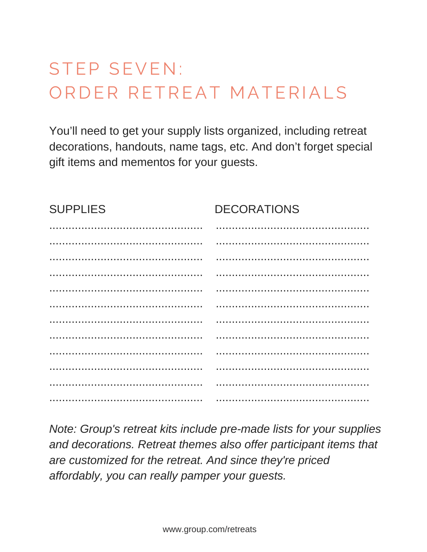## **STEP SEVEN:** ORDER RETREAT MATERIALS

You'll need to get your supply lists organized, including retreat decorations, handouts, name tags, etc. And don't forget special gift items and mementos for your guests.

| <b>SUPPLIES</b> | <b>DECORATIONS</b> |
|-----------------|--------------------|
|                 |                    |
|                 |                    |
|                 |                    |
|                 |                    |
|                 |                    |
|                 |                    |
|                 |                    |
|                 |                    |
|                 |                    |
|                 |                    |
|                 |                    |
|                 |                    |

Note: Group's retreat kits include pre-made lists for your supplies and decorations. Retreat themes also offer participant items that are customized for the retreat. And since they're priced affordably, you can really pamper your quests.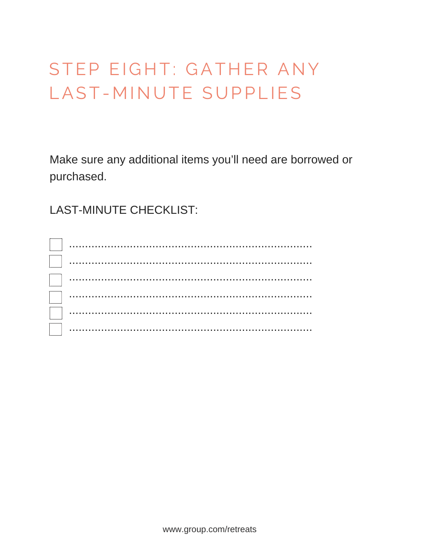# STEP EIGHT: GATHER ANY LAST-MINUTE SUPPLIES

Make sure any additional items you'll need are borrowed or purchased.

**LAST-MINUTE CHECKLIST:**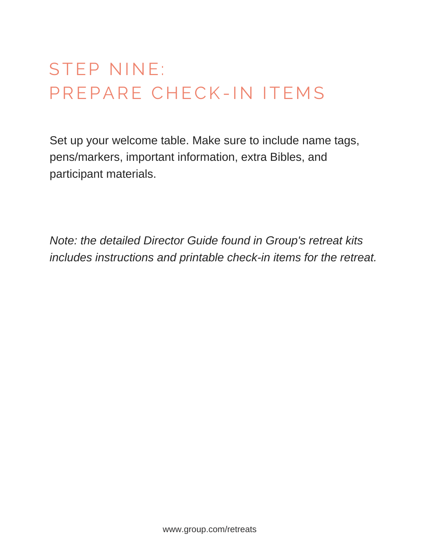# **STEP NINE:** PREPARE CHECK-IN ITEMS

Set up your welcome table. Make sure to include name tags, pens/markers, important information, extra Bibles, and participant materials.

*Note: the detailed Director Guide found in Group's retreat kits includes instructions and printable check-in items for the retreat.*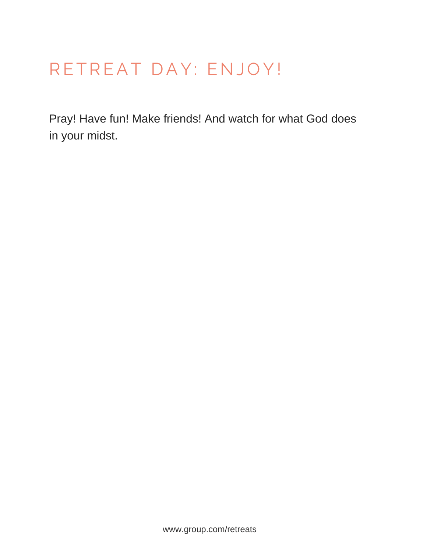## RETREAT DAY: ENJOY!

Pray! Have fun! Make friends! And watch for what God does in your midst.